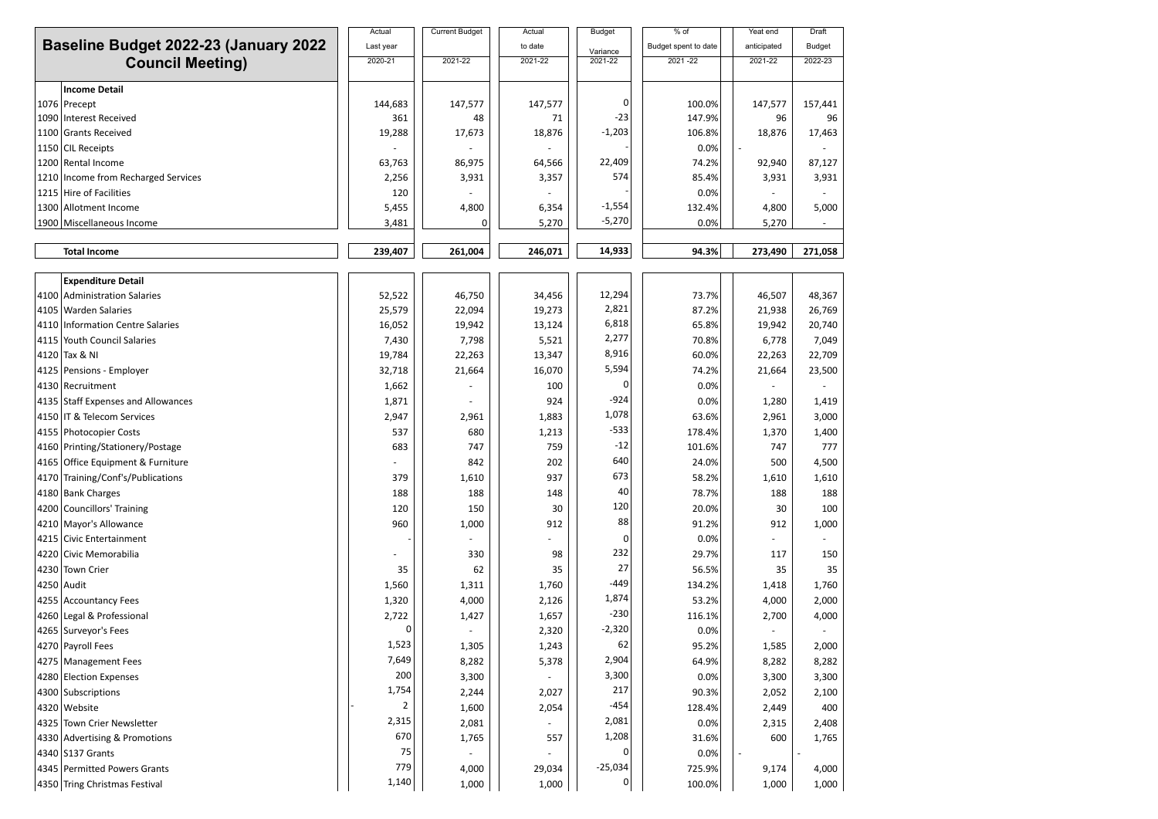| <b>Baseline Budget 2022-23 (January 2022)</b><br><b>Council Meeting)</b> |                                     | Actual    | <b>Current Budget</b> | Actual  | <b>Budget</b>         | % of                 | Yeat end    | Draft         |
|--------------------------------------------------------------------------|-------------------------------------|-----------|-----------------------|---------|-----------------------|----------------------|-------------|---------------|
|                                                                          |                                     | Last year |                       | to date | Variance              | Budget spent to date | anticipated | <b>Budget</b> |
|                                                                          |                                     | 2020-21   | 2021-22               | 2021-22 | 2021-22               | $2021 - 22$          | 2021-22     | 2022-23       |
|                                                                          |                                     |           |                       |         |                       |                      |             |               |
|                                                                          | <b>Income Detail</b>                |           |                       |         |                       |                      |             |               |
|                                                                          | 1076 Precept                        | 144,683   | 147,577               | 147,577 | 0<br>$-23$            | 100.0%               | 147,577     | 157,441       |
|                                                                          | 1090 Interest Received              | 361       | 48                    | 71      | $-1,203$              | 147.9%               | 96          | 96            |
|                                                                          | 1100 Grants Received                | 19,288    | 17,673                | 18,876  |                       | 106.8%               | 18,876      | 17,463        |
|                                                                          | 1150 CIL Receipts                   |           |                       |         | 22,409                | 0.0%                 |             |               |
|                                                                          | 1200 Rental Income                  | 63,763    | 86,975                | 64,566  | 574                   | 74.2%                | 92,940      | 87,127        |
|                                                                          | 1210 Income from Recharged Services | 2,256     | 3,931                 | 3,357   |                       | 85.4%                | 3,931       | 3,931         |
|                                                                          | 1215 Hire of Facilities             | 120       |                       |         |                       | 0.0%                 |             |               |
|                                                                          | 1300 Allotment Income               | 5,455     | 4,800                 | 6,354   | $-1,554$<br>$-5,270$  | 132.4%               | 4,800       | 5,000         |
|                                                                          | 1900 Miscellaneous Income           | 3,481     | 0                     | 5,270   |                       | 0.0%                 | 5,270       |               |
|                                                                          | <b>Total Income</b>                 | 239,407   | 261,004               | 246,071 | 14,933                | 94.3%                | 273,490     | 271,058       |
|                                                                          |                                     |           |                       |         |                       |                      |             |               |
|                                                                          | <b>Expenditure Detail</b>           |           |                       |         |                       |                      |             |               |
|                                                                          | 4100 Administration Salaries        | 52,522    | 46,750                | 34,456  | 12,294                | 73.7%                | 46,507      | 48,367        |
|                                                                          | 4105   Warden Salaries              | 25,579    | 22,094                | 19,273  | 2,821                 | 87.2%                | 21,938      | 26,769        |
|                                                                          | 4110 Information Centre Salaries    | 16,052    | 19,942                | 13,124  | 6,818                 | 65.8%                | 19,942      | 20,740        |
|                                                                          | 4115 Youth Council Salaries         | 7,430     | 7,798                 | 5,521   | 2,277                 | 70.8%                | 6,778       | 7,049         |
|                                                                          | 4120 Tax & NI                       | 19,784    | 22,263                | 13,347  | 8,916                 | 60.0%                | 22,263      | 22,709        |
|                                                                          | 4125   Pensions - Employer          | 32,718    | 21,664                | 16,070  | 5,594                 | 74.2%                | 21,664      | 23,500        |
|                                                                          | 4130   Recruitment                  | 1,662     |                       | 100     | n                     | 0.0%                 |             |               |
|                                                                          | 4135 Staff Expenses and Allowances  | 1,871     |                       | 924     | $-924$                | 0.0%                 | 1,280       | 1,419         |
|                                                                          | 4150 IT & Telecom Services          | 2,947     | 2,961                 | 1,883   | 1,078                 | 63.6%                | 2,961       | 3,000         |
|                                                                          | 4155 Photocopier Costs              | 537       | 680                   | 1,213   | $-533$                | 178.4%               | 1,370       | 1,400         |
|                                                                          | 4160 Printing/Stationery/Postage    | 683       | 747                   | 759     | $-12$                 | 101.6%               | 747         | 777           |
|                                                                          | 4165 Office Equipment & Furniture   |           | 842                   | 202     | 640                   | 24.0%                | 500         | 4,500         |
|                                                                          | 4170 Training/Conf's/Publications   | 379       | 1,610                 | 937     | 673                   | 58.2%                | 1,610       | 1,610         |
|                                                                          | 4180 Bank Charges                   | 188       | 188                   | 148     | 40                    | 78.7%                | 188         | 188           |
|                                                                          | 4200 Councillors' Training          | 120       | 150                   | 30      | 120                   | 20.0%                | 30          | 100           |
|                                                                          | 4210   Mayor's Allowance            | 960       | 1,000                 | 912     | 88                    | 91.2%                | 912         | 1,000         |
|                                                                          | 4215 Civic Entertainment            |           |                       |         | 0                     | 0.0%                 |             |               |
|                                                                          | 4220 Civic Memorabilia              |           | 330                   | 98      | 232                   | 29.7%                | 117         | 150           |
|                                                                          | 4230 Town Crier                     | 35        | 62                    | 35      | 27                    | 56.5%                | 35          | 35            |
|                                                                          | 4250 Audit                          | 1,560     | 1,311                 | 1,760   | $-449$                | 134.2%               | 1,418       | 1,760         |
|                                                                          | 4255 Accountancy Fees               | 1,320     | 4,000                 | 2,126   | 1,874                 | 53.2%                | 4,000       | 2,000         |
|                                                                          | 4260 Legal & Professional           | 2,722     | 1,427                 | 1,657   | $-230$                | 116.1%               | 2,700       | 4,000         |
|                                                                          | 4265 Surveyor's Fees                | O         |                       | 2,320   | $-2,320$              | 0.0%                 |             |               |
|                                                                          | 4270 Payroll Fees                   | 1,523     | 1,305                 | 1,243   | 62                    | 95.2%                | 1,585       | 2,000         |
|                                                                          | 4275   Management Fees              | 7,649     | 8,282                 | 5,378   | 2,904                 | 64.9%                | 8,282       | 8,282         |
|                                                                          |                                     | 200       |                       |         | 3,300                 |                      |             |               |
|                                                                          | 4280 Election Expenses              | 1,754     | 3,300                 |         | 217                   | 0.0%                 | 3,300       | 3,300         |
|                                                                          | 4300 Subscriptions                  | 2         | 2,244                 | 2,027   | $-454$                | 90.3%                | 2,052       | 2,100         |
|                                                                          | 4320   Website                      | 2,315     | 1,600                 | 2,054   | 2,081                 | 128.4%               | 2,449       | 400           |
|                                                                          | 4325 Town Crier Newsletter          | 670       | 2,081                 |         |                       | 0.0%                 | 2,315       | 2,408         |
|                                                                          | 4330 Advertising & Promotions       |           | 1,765                 | 557     | 1,208<br><sup>0</sup> | 31.6%                | 600         | 1,765         |
|                                                                          | 4340 S137 Grants                    | 75        |                       |         |                       | 0.0%                 |             |               |
|                                                                          | 4345 Permitted Powers Grants        | 779       | 4,000                 | 29,034  | $-25,034$             | 725.9%               | 9,174       | 4,000         |
|                                                                          | 4350 Tring Christmas Festival       | 1,140     | 1,000                 | 1,000   | 0                     | 100.0%               | 1,000       | 1,000         |